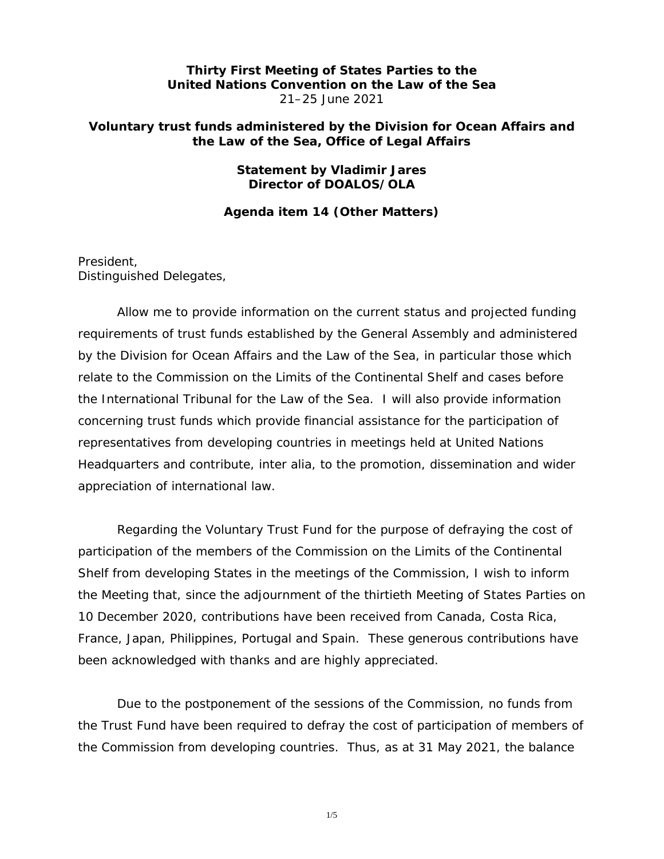# **Thirty First Meeting of States Parties to the United Nations Convention on the Law of the Sea** 21–25 June 2021

# **Voluntary trust funds administered by the Division for Ocean Affairs and the Law of the Sea, Office of Legal Affairs**

# **Statement by Vladimir Jares Director of DOALOS/OLA**

*Agenda item 14 (Other Matters)* 

President, Distinguished Delegates,

Allow me to provide information on the current status and projected funding requirements of trust funds established by the General Assembly and administered by the Division for Ocean Affairs and the Law of the Sea, in particular those which relate to the Commission on the Limits of the Continental Shelf and cases before the International Tribunal for the Law of the Sea. I will also provide information concerning trust funds which provide financial assistance for the participation of representatives from developing countries in meetings held at United Nations Headquarters and contribute, inter alia, to the promotion, dissemination and wider appreciation of international law.

Regarding the *Voluntary Trust Fund for the purpose of defraying the cost of participation of the members of the Commission on the Limits of the Continental Shelf from developing States in the meetings of the Commission, I wish to inform* the Meeting that, since the adjournment of the thirtieth Meeting of States Parties on 10 December 2020, contributions have been received from Canada, Costa Rica, France, Japan, Philippines, Portugal and Spain. These generous contributions have been acknowledged with thanks and are highly appreciated.

Due to the postponement of the sessions of the Commission, no funds from the Trust Fund have been required to defray the cost of participation of members of the Commission from developing countries. Thus, as at 31 May 2021, the balance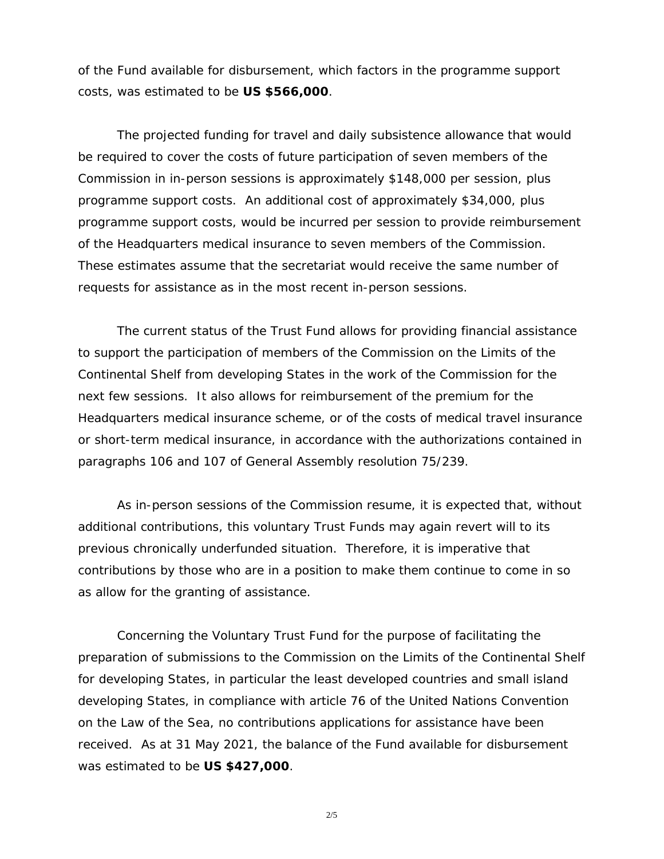of the Fund available for disbursement, which factors in the programme support costs, was estimated to be **US \$566,000**.

The projected funding for travel and daily subsistence allowance that would be required to cover the costs of future participation of seven members of the Commission in in-person sessions is approximately \$148,000 per session, plus programme support costs. An additional cost of approximately \$34,000, plus programme support costs, would be incurred per session to provide reimbursement of the Headquarters medical insurance to seven members of the Commission. These estimates assume that the secretariat would receive the same number of requests for assistance as in the most recent in-person sessions.

The current status of the Trust Fund allows for providing financial assistance to support the participation of members of the Commission on the Limits of the Continental Shelf from developing States in the work of the Commission for the next few sessions. It also allows for reimbursement of the premium for the Headquarters medical insurance scheme, or of the costs of medical travel insurance or short-term medical insurance, in accordance with the authorizations contained in paragraphs 106 and 107 of General Assembly resolution 75/239.

As in-person sessions of the Commission resume, it is expected that, without additional contributions, this voluntary Trust Funds may again revert will to its previous chronically underfunded situation. Therefore, it is imperative that contributions by those who are in a position to make them continue to come in so as allow for the granting of assistance.

Concerning the *Voluntary Trust Fund for the purpose of facilitating the preparation of submissions to the Commission on the Limits of the Continental Shelf*  for developing States, in particular the least developed countries and small island *developing States, in compliance with article 76 of the United Nations Convention on the Law of the Sea*, no contributions applications for assistance have been received. As at 31 May 2021, the balance of the Fund available for disbursement was estimated to be **US \$427,000**.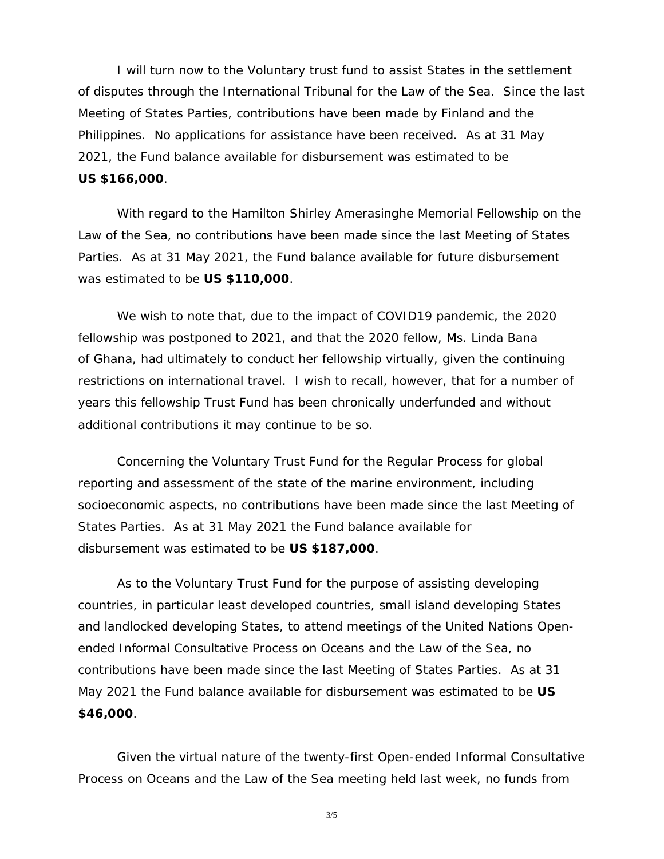I will turn now to the *Voluntary trust fund to assist States in the settlement of disputes through the International Tribunal for the Law of the Sea.* Since the last Meeting of States Parties, contributions have been made by Finland and the Philippines. No applications for assistance have been received. As at 31 May 2021, the Fund balance available for disbursement was estimated to be **US \$166,000**.

With regard to the *Hamilton Shirley Amerasinghe Memorial Fellowship on the Law of the Sea*, no contributions have been made since the last Meeting of States Parties. As at 31 May 2021, the Fund balance available for future disbursement was estimated to be **US \$110,000**.

We wish to note that, due to the impact of COVID19 pandemic, the 2020 fellowship was postponed to 2021, and that the 2020 fellow, Ms. Linda Bana of Ghana, had ultimately to conduct her fellowship virtually, given the continuing restrictions on international travel. I wish to recall, however, that for a number of years this fellowship Trust Fund has been chronically underfunded and without additional contributions it may continue to be so.

Concerning *the Voluntary Trust Fund for the Regular Process for global reporting and assessment of the state of the marine environment, including socioeconomic aspects*, no contributions have been made since the last Meeting of States Parties. As at 31 May 2021 the Fund balance available for disbursement was estimated to be **US \$187,000**.

As to the *Voluntary Trust Fund for the purpose of assisting developing countries, in particular least developed countries, small island developing States and landlocked developing States, to attend meetings of the United Nations Openended Informal Consultative Process on Oceans and the Law of the Sea*, no contributions have been made since the last Meeting of States Parties. As at 31 May 2021 the Fund balance available for disbursement was estimated to be **US \$46,000**.

Given the virtual nature of the twenty-first *Open-ended Informal Consultative Process on Oceans and the Law of the Sea* meeting held last week, no funds from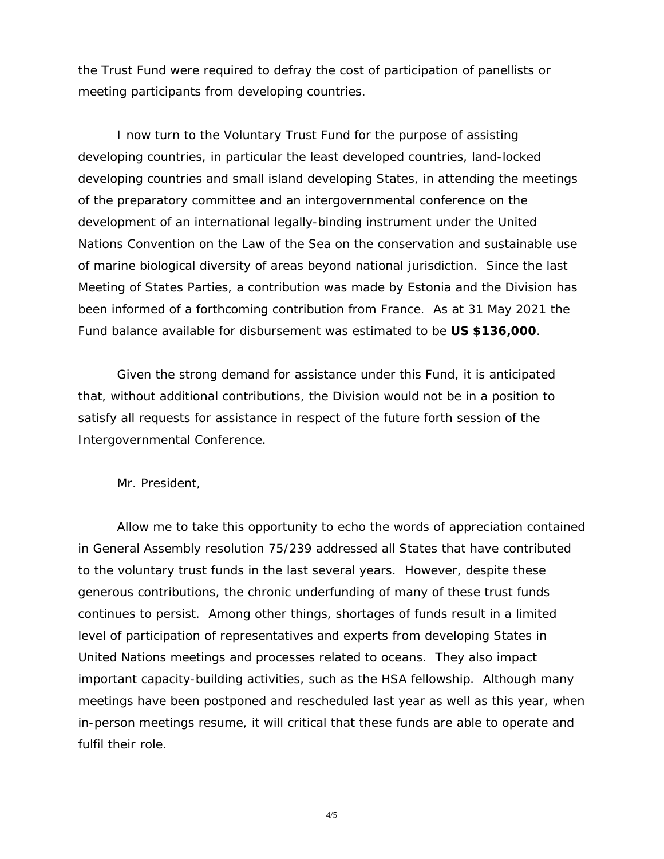the Trust Fund were required to defray the cost of participation of panellists or meeting participants from developing countries.

I now turn to the *Voluntary Trust Fund for the purpose of assisting developing countries, in particular the least developed countries, land-locked developing countries and small island developing States, in attending the meetings of the preparatory committee and an intergovernmental conference on the development of an international legally-binding instrument under the United Nations Convention on the Law of the Sea on the conservation and sustainable use of marine biological diversity of areas beyond national jurisdiction*. Since the last Meeting of States Parties, a contribution was made by Estonia and the Division has been informed of a forthcoming contribution from France. As at 31 May 2021 the Fund balance available for disbursement was estimated to be **US \$136,000**.

Given the strong demand for assistance under this Fund, it is anticipated that, without additional contributions, the Division would not be in a position to satisfy all requests for assistance in respect of the future forth session of the Intergovernmental Conference.

Mr. President,

Allow me to take this opportunity to echo the words of appreciation contained in General Assembly resolution 75/239 addressed all States that have contributed to the voluntary trust funds in the last several years. However, despite these generous contributions, the chronic underfunding of many of these trust funds continues to persist. Among other things, shortages of funds result in a limited level of participation of representatives and experts from developing States in United Nations meetings and processes related to oceans. They also impact important capacity-building activities, such as the HSA fellowship. Although many meetings have been postponed and rescheduled last year as well as this year, when in-person meetings resume, it will critical that these funds are able to operate and fulfil their role.